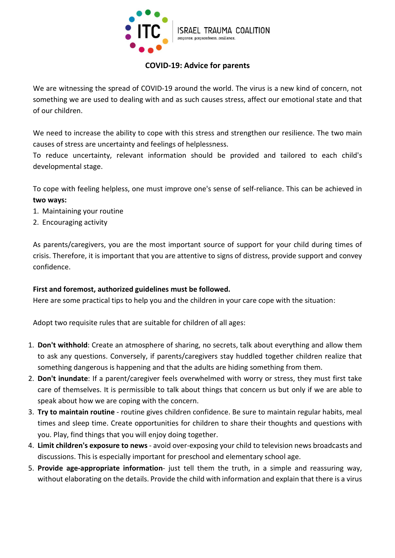

# COVID-19: Advice for parents

We are witnessing the spread of COVID-19 around the world. The virus is a new kind of concern, not something we are used to dealing with and as such causes stress, affect our emotional state and that of our children.

We need to increase the ability to cope with this stress and strengthen our resilience. The two main causes of stress are uncertainty and feelings of helplessness.

To reduce uncertainty, relevant information should be provided and tailored to each child's developmental stage.

To cope with feeling helpless, one must improve one's sense of self-reliance. This can be achieved in two ways:

- 1. Maintaining your routine
- 2. Encouraging activity

As parents/caregivers, you are the most important source of support for your child during times of crisis. Therefore, it is important that you are attentive to signs of distress, provide support and convey confidence.

## First and foremost, authorized guidelines must be followed.

Here are some practical tips to help you and the children in your care cope with the situation:

Adopt two requisite rules that are suitable for children of all ages:

- 1. Don't withhold: Create an atmosphere of sharing, no secrets, talk about everything and allow them to ask any questions. Conversely, if parents/caregivers stay huddled together children realize that something dangerous is happening and that the adults are hiding something from them.
- 2. Don't inundate: If a parent/caregiver feels overwhelmed with worry or stress, they must first take care of themselves. It is permissible to talk about things that concern us but only if we are able to speak about how we are coping with the concern.
- 3. Try to maintain routine routine gives children confidence. Be sure to maintain regular habits, meal times and sleep time. Create opportunities for children to share their thoughts and questions with you. Play, find things that you will enjoy doing together.
- 4. Limit children's exposure to news avoid over-exposing your child to television news broadcasts and discussions. This is especially important for preschool and elementary school age.
- 5. Provide age-appropriate information- just tell them the truth, in a simple and reassuring way, without elaborating on the details. Provide the child with information and explain that there is a virus